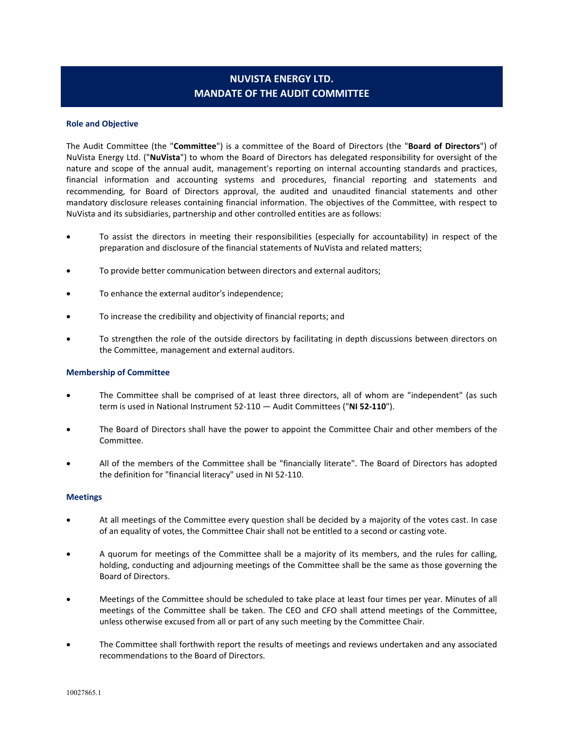# **NUVISTA ENERGY LTD. MANDATE OF THE AUDIT COMMITTEE**

### **Role and Objective**

The Audit Committee (the "**Committee**") is a committee of the Board of Directors (the "**Board of Directors**") of NuVista Energy Ltd. ("**NuVista**") to whom the Board of Directors has delegated responsibility for oversight of the nature and scope of the annual audit, management's reporting on internal accounting standards and practices, financial information and accounting systems and procedures, financial reporting and statements and recommending, for Board of Directors approval, the audited and unaudited financial statements and other mandatory disclosure releases containing financial information. The objectives of the Committee, with respect to NuVista and its subsidiaries, partnership and other controlled entities are as follows:

- To assist the directors in meeting their responsibilities (especially for accountability) in respect of the preparation and disclosure of the financial statements of NuVista and related matters;
- To provide better communication between directors and external auditors;
- To enhance the external auditor's independence;
- To increase the credibility and objectivity of financial reports; and
- To strengthen the role of the outside directors by facilitating in depth discussions between directors on the Committee, management and external auditors.

### **Membership of Committee**

- The Committee shall be comprised of at least three directors, all of whom are "independent" (as such term is used in National Instrument 52-110 — Audit Committees ("**NI 52-110**").
- The Board of Directors shall have the power to appoint the Committee Chair and other members of the Committee.
- All of the members of the Committee shall be "financially literate". The Board of Directors has adopted the definition for "financial literacy" used in NI 52-110.

### **Meetings**

- At all meetings of the Committee every question shall be decided by a majority of the votes cast. In case of an equality of votes, the Committee Chair shall not be entitled to a second or casting vote.
- A quorum for meetings of the Committee shall be a majority of its members, and the rules for calling, holding, conducting and adjourning meetings of the Committee shall be the same as those governing the Board of Directors.
- Meetings of the Committee should be scheduled to take place at least four times per year. Minutes of all meetings of the Committee shall be taken. The CEO and CFO shall attend meetings of the Committee, unless otherwise excused from all or part of any such meeting by the Committee Chair.
- The Committee shall forthwith report the results of meetings and reviews undertaken and any associated recommendations to the Board of Directors.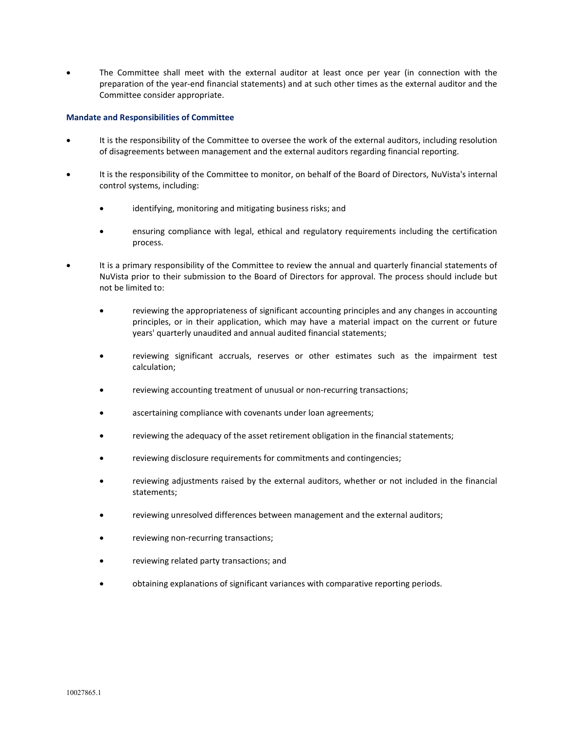The Committee shall meet with the external auditor at least once per year (in connection with the preparation of the year-end financial statements) and at such other times as the external auditor and the Committee consider appropriate.

## **Mandate and Responsibilities of Committee**

- It is the responsibility of the Committee to oversee the work of the external auditors, including resolution of disagreements between management and the external auditors regarding financial reporting.
- It is the responsibility of the Committee to monitor, on behalf of the Board of Directors, NuVista's internal control systems, including:
	- identifying, monitoring and mitigating business risks; and
	- ensuring compliance with legal, ethical and regulatory requirements including the certification process.
- It is a primary responsibility of the Committee to review the annual and quarterly financial statements of NuVista prior to their submission to the Board of Directors for approval. The process should include but not be limited to:
	- reviewing the appropriateness of significant accounting principles and any changes in accounting principles, or in their application, which may have a material impact on the current or future years' quarterly unaudited and annual audited financial statements;
	- reviewing significant accruals, reserves or other estimates such as the impairment test calculation;
	- reviewing accounting treatment of unusual or non-recurring transactions;
	- ascertaining compliance with covenants under loan agreements;
	- reviewing the adequacy of the asset retirement obligation in the financial statements;
	- reviewing disclosure requirements for commitments and contingencies;
	- reviewing adjustments raised by the external auditors, whether or not included in the financial statements;
	- reviewing unresolved differences between management and the external auditors;
	- reviewing non-recurring transactions;
	- reviewing related party transactions; and
	- obtaining explanations of significant variances with comparative reporting periods.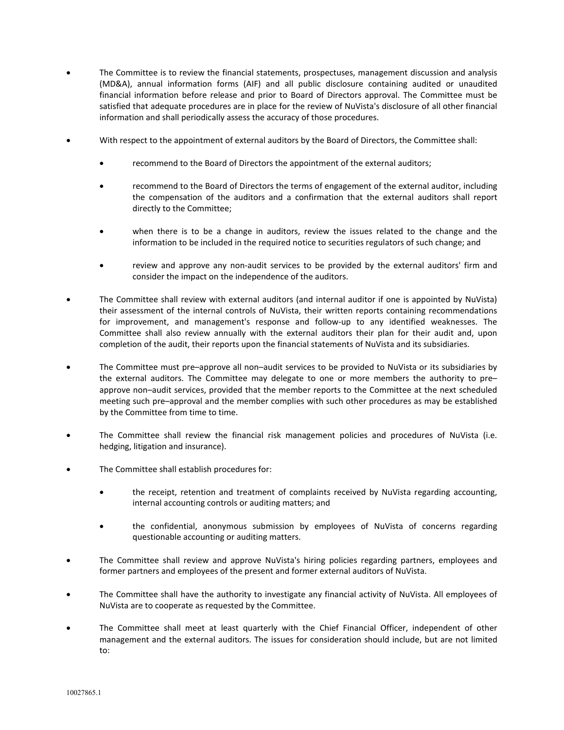- The Committee is to review the financial statements, prospectuses, management discussion and analysis (MD&A), annual information forms (AIF) and all public disclosure containing audited or unaudited financial information before release and prior to Board of Directors approval. The Committee must be satisfied that adequate procedures are in place for the review of NuVista's disclosure of all other financial information and shall periodically assess the accuracy of those procedures.
- With respect to the appointment of external auditors by the Board of Directors, the Committee shall:
	- recommend to the Board of Directors the appointment of the external auditors;
	- recommend to the Board of Directors the terms of engagement of the external auditor, including the compensation of the auditors and a confirmation that the external auditors shall report directly to the Committee;
	- when there is to be a change in auditors, review the issues related to the change and the information to be included in the required notice to securities regulators of such change; and
	- review and approve any non-audit services to be provided by the external auditors' firm and consider the impact on the independence of the auditors.
- The Committee shall review with external auditors (and internal auditor if one is appointed by NuVista) their assessment of the internal controls of NuVista, their written reports containing recommendations for improvement, and management's response and follow-up to any identified weaknesses. The Committee shall also review annually with the external auditors their plan for their audit and, upon completion of the audit, their reports upon the financial statements of NuVista and its subsidiaries.
- The Committee must pre–approve all non–audit services to be provided to NuVista or its subsidiaries by the external auditors. The Committee may delegate to one or more members the authority to pre– approve non–audit services, provided that the member reports to the Committee at the next scheduled meeting such pre–approval and the member complies with such other procedures as may be established by the Committee from time to time.
- The Committee shall review the financial risk management policies and procedures of NuVista (i.e. hedging, litigation and insurance).
- The Committee shall establish procedures for:
	- the receipt, retention and treatment of complaints received by NuVista regarding accounting, internal accounting controls or auditing matters; and
	- the confidential, anonymous submission by employees of NuVista of concerns regarding questionable accounting or auditing matters.
- The Committee shall review and approve NuVista's hiring policies regarding partners, employees and former partners and employees of the present and former external auditors of NuVista.
- The Committee shall have the authority to investigate any financial activity of NuVista. All employees of NuVista are to cooperate as requested by the Committee.
- The Committee shall meet at least quarterly with the Chief Financial Officer, independent of other management and the external auditors. The issues for consideration should include, but are not limited to: